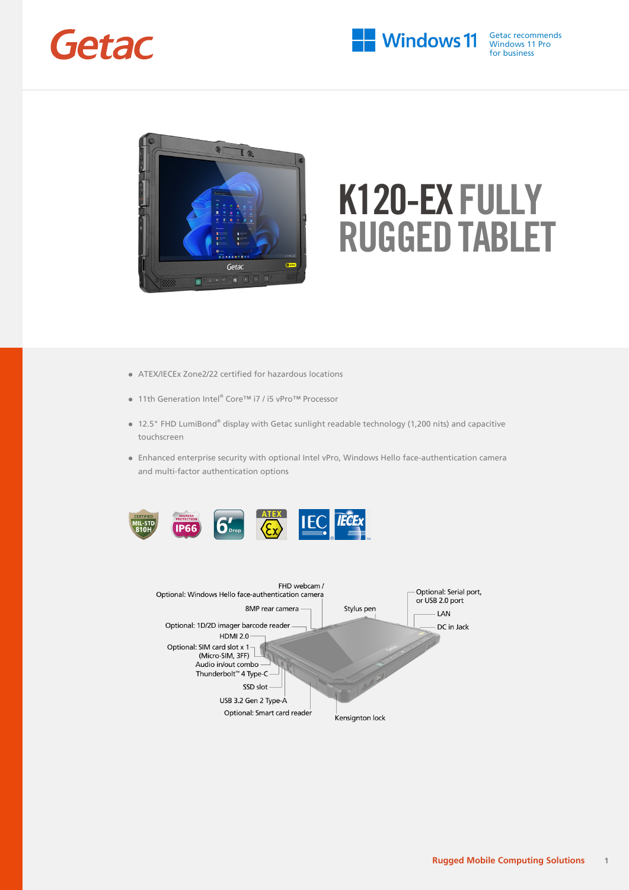



- ATEX/IECEx Zone2/22 certified for hazardous locations
- 11th Generation Intel® Core™ i7 / i5 vPro™ Processor
- 12.5" FHD LumiBond® display with Getac sunlight readable technology (1,200 nits) and capacitive touchscreen
- Enhanced enterprise security with optional Intel vPro, Windows Hello face-authentication camera and multi-factor authentication options



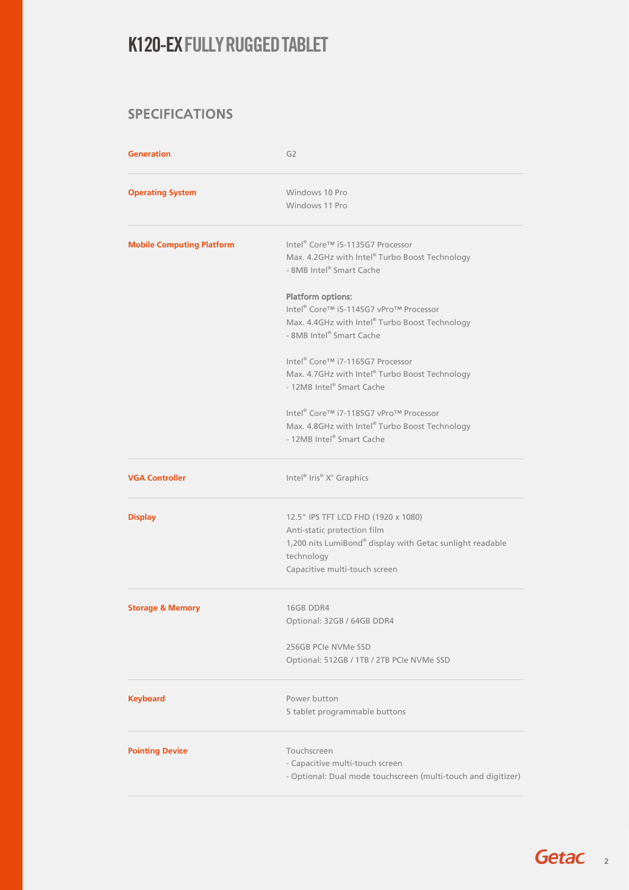#### SPECIFICATIONS

| <b>Generation</b>                | G <sub>2</sub>                                                                                                                                                                 |
|----------------------------------|--------------------------------------------------------------------------------------------------------------------------------------------------------------------------------|
| <b>Operating System</b>          | Windows 10 Pro<br>Windows 11 Pro                                                                                                                                               |
| <b>Mobile Computing Platform</b> | Intel <sup>®</sup> Core™ i5-1135G7 Processor<br>Max. 4.2GHz with Intel® Turbo Boost Technology<br>- 8MB Intel® Smart Cache                                                     |
|                                  | <b>Platform options:</b><br>Intel® Core™ i5-1145G7 vPro™ Processor<br>Max. 4.4GHz with Intel® Turbo Boost Technology<br>- 8MB Intel® Smart Cache                               |
|                                  | Intel® Core™ i7-1165G7 Processor<br>Max. 4.7GHz with Intel® Turbo Boost Technology<br>- 12MB Intel® Smart Cache                                                                |
|                                  | Intel® Core™ i7-1185G7 vPro™ Processor<br>Max. 4.8GHz with Intel® Turbo Boost Technology<br>- 12MB Intel® Smart Cache                                                          |
| <b>VGA Controller</b>            | Intel® Iris® X <sup>e</sup> Graphics                                                                                                                                           |
| <b>Display</b>                   | 12.5" IPS TFT LCD FHD (1920 x 1080)<br>Anti-static protection film<br>1,200 nits LumiBond® display with Getac sunlight readable<br>technology<br>Capacitive multi-touch screen |
| <b>Storage &amp; Memory</b>      | 16GB DDR4<br>Optional: 32GB / 64GB DDR4                                                                                                                                        |
|                                  | 256GB PCIe NVMe SSD<br>Optional: 512GB / 1TB / 2TB PCIe NVMe SSD                                                                                                               |
| <b>Keyboard</b>                  | Power button<br>5 tablet programmable buttons                                                                                                                                  |
| <b>Pointing Device</b>           | Touchscreen<br>- Capacitive multi-touch screen<br>- Optional: Dual mode touchscreen (multi-touch and digitizer)                                                                |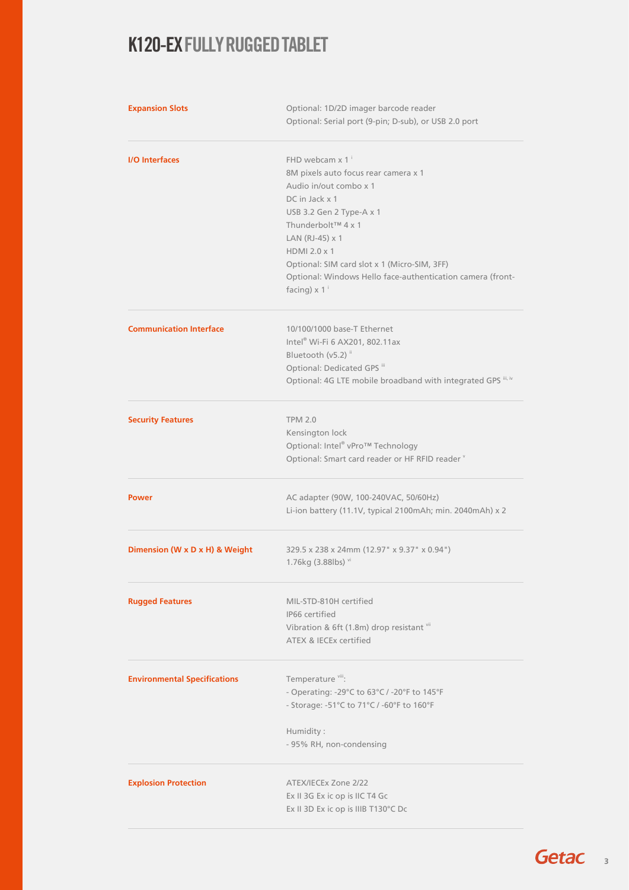| <b>Expansion Slots</b>              | Optional: 1D/2D imager barcode reader<br>Optional: Serial port (9-pin; D-sub), or USB 2.0 port                                                                                                                                                       |
|-------------------------------------|------------------------------------------------------------------------------------------------------------------------------------------------------------------------------------------------------------------------------------------------------|
| <b>I/O</b> Interfaces               | FHD webcam x 1 <sup>i</sup><br>8M pixels auto focus rear camera x 1<br>Audio in/out combo x 1<br>DC in Jack x 1<br>USB 3.2 Gen 2 Type-A x 1<br>Thunderbolt™ 4 x 1<br>LAN (RJ-45) x 1<br>HDMI 2.0 x 1<br>Optional: SIM card slot x 1 (Micro-SIM, 3FF) |
|                                     | Optional: Windows Hello face-authentication camera (front-<br>facing) $\times$ 1 <sup>i</sup>                                                                                                                                                        |
| <b>Communication Interface</b>      | 10/100/1000 base-T Ethernet<br>Intel® Wi-Fi 6 AX201, 802.11ax<br>Bluetooth (v5.2) <sup>ii</sup><br>Optional: Dedicated GPS iii<br>Optional: 4G LTE mobile broadband with integrated GPS iii, iv                                                      |
| <b>Security Features</b>            | <b>TPM 2.0</b><br>Kensington lock<br>Optional: Intel® vPro™ Technology<br>Optional: Smart card reader or HF RFID reader v                                                                                                                            |
| <b>Power</b>                        | AC adapter (90W, 100-240VAC, 50/60Hz)<br>Li-ion battery (11.1V, typical 2100mAh; min. 2040mAh) x 2                                                                                                                                                   |
| Dimension (W x D x H) & Weight      | 329.5 x 238 x 24mm (12.97" x 9.37" x 0.94")<br>1.76kg (3.88lbs) vi                                                                                                                                                                                   |
| <b>Rugged Features</b>              | MIL-STD-810H certified<br>IP66 certified<br>Vibration & 6ft (1.8m) drop resistant vii<br>ATEX & IECEx certified                                                                                                                                      |
| <b>Environmental Specifications</b> | Temperature <sup>viii</sup> :<br>- Operating: -29°C to 63°C / -20°F to 145°F<br>- Storage: -51°C to 71°C / -60°F to 160°F<br>Humidity:<br>- 95% RH, non-condensing                                                                                   |
| <b>Explosion Protection</b>         | ATEX/IECEx Zone 2/22<br>Ex II 3G Ex ic op is IIC T4 Gc<br>Ex II 3D Ex ic op is IIIB T130°C Dc                                                                                                                                                        |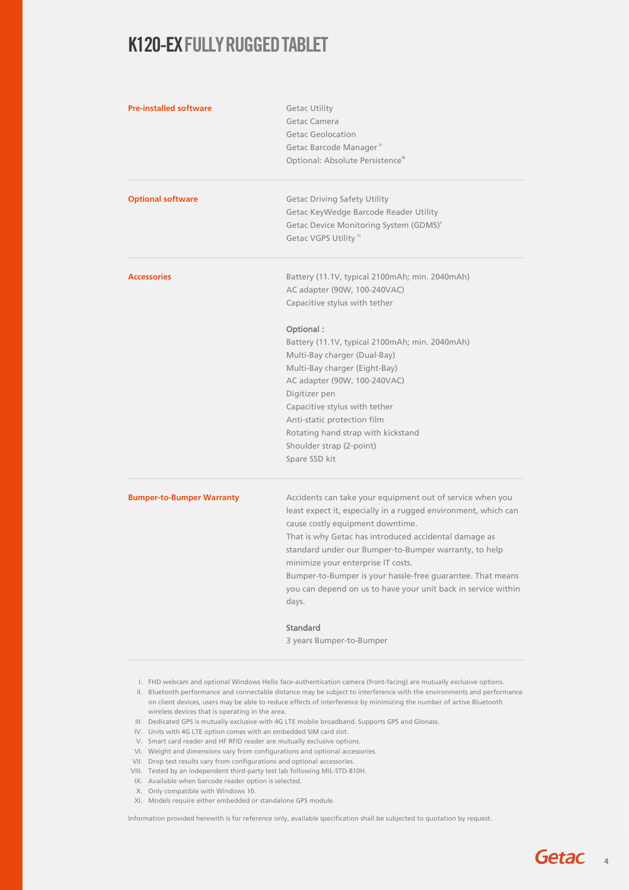| <b>Pre-installed software</b>    | <b>Getac Utility</b><br>Getac Camera<br>Getac Geolocation<br>Getac Barcode Manager <sup>"</sup><br>Optional: Absolute Persistence®                                                                                                                                                                                                                                                                                                                                                                                              |
|----------------------------------|---------------------------------------------------------------------------------------------------------------------------------------------------------------------------------------------------------------------------------------------------------------------------------------------------------------------------------------------------------------------------------------------------------------------------------------------------------------------------------------------------------------------------------|
| <b>Optional software</b>         | <b>Getac Driving Safety Utility</b><br>Getac KeyWedge Barcode Reader Utility<br>Getac Device Monitoring System (GDMS) <sup>x</sup><br>Getac VGPS Utility xi                                                                                                                                                                                                                                                                                                                                                                     |
| <b>Accessories</b>               | Battery (11.1V, typical 2100mAh; min. 2040mAh)<br>AC adapter (90W, 100-240VAC)<br>Capacitive stylus with tether<br>Optional:<br>Battery (11.1V, typical 2100mAh; min. 2040mAh)<br>Multi-Bay charger (Dual-Bay)<br>Multi-Bay charger (Eight-Bay)<br>AC adapter (90W, 100-240VAC)<br>Digitizer pen<br>Capacitive stylus with tether<br>Anti-static protection film<br>Rotating hand strap with kickstand<br>Shoulder strap (2-point)                                                                                              |
| <b>Bumper-to-Bumper Warranty</b> | Spare SSD kit<br>Accidents can take your equipment out of service when you<br>least expect it, especially in a rugged environment, which can<br>cause costly equipment downtime.<br>That is why Getac has introduced accidental damage as<br>standard under our Bumper-to-Bumper warranty, to help<br>minimize your enterprise IT costs.<br>Bumper-to-Bumper is your hassle-free guarantee. That means<br>you can depend on us to have your unit back in service within<br>days.<br><b>Standard</b><br>3 years Bumper-to-Bumper |

- I. FHD webcam and optional Windows Hello face-authentication camera (front-facing) are mutually exclusive options.
- II. Bluetooth performance and connectable distance may be subject to interference with the environments and performance on client devices, users may be able to reduce effects of interference by minimizing the number of active Bluetooth wireless devices that is operating in the area.
- III. Dedicated GPS is mutually exclusive with 4G LTE mobile broadband. Supports GPS and Glonass.
- IV. Units with 4G LTE option comes with an embedded SIM card slot.
- V. Smart card reader and HF RFID reader are mutually exclusive options.
- VI. Weight and dimensions vary from configurations and optional accessories.
- VII. Drop test results vary from configurations and optional accessories.
- VIII. Tested by an independent third-party test lab following MIL-STD-810H.
- IX. Available when barcode reader option is selected.
- X. Only compatible with Windows 10.
- XI. Models require either embedded or standalone GPS module.

Information provided herewith is for reference only, available specification shall be subjected to quotation by request.